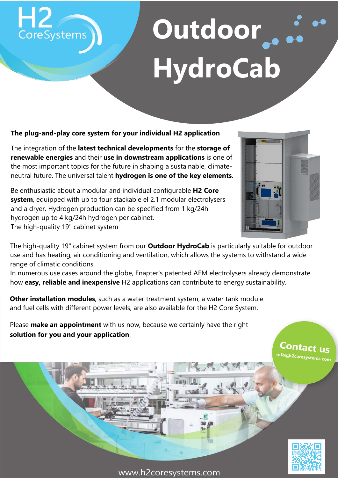## Outdoor... **HydroCab**

#### **The plug-and-play core system for your individual H2 application**

CoreSystems

The integration of the **latest technical developments** for the **storage of renewable energies** and their **use in downstream applications** is one of the most important topics for the future in shaping a sustainable, climateneutral future. The universal talent **hydrogen is one of the key elements**.

Be enthusiastic about a modular and individual configurable **H2 Core system**, equipped with up to four stackable el 2.1 modular electrolysers and a dryer. Hydrogen production can be specified from 1 kg/24h hydrogen up to 4 kg/24h hydrogen per cabinet. The high-quality 19" cabinet system



The high-quality 19" cabinet system from our **Outdoor HydroCab** is particularly suitable for outdoor use and has heating, air conditioning and ventilation, which allows the systems to withstand a wide range of climatic conditions.

In numerous use cases around the globe, Enapter's patented AEM electrolysers already demonstrate how **easy, reliable and inexpensive** H2 applications can contribute to energy sustainability.

**Other installation modules**, such as a water treatment system, a water tank module and fuel cells with different power levels, are also available for the H2 Core System.

Please **make an appointment** with us now, because we certainly have the right **solution for you and your application**.



Contact <sub>US</sub> info@h2coresystems.com

www.h2coresystems.com